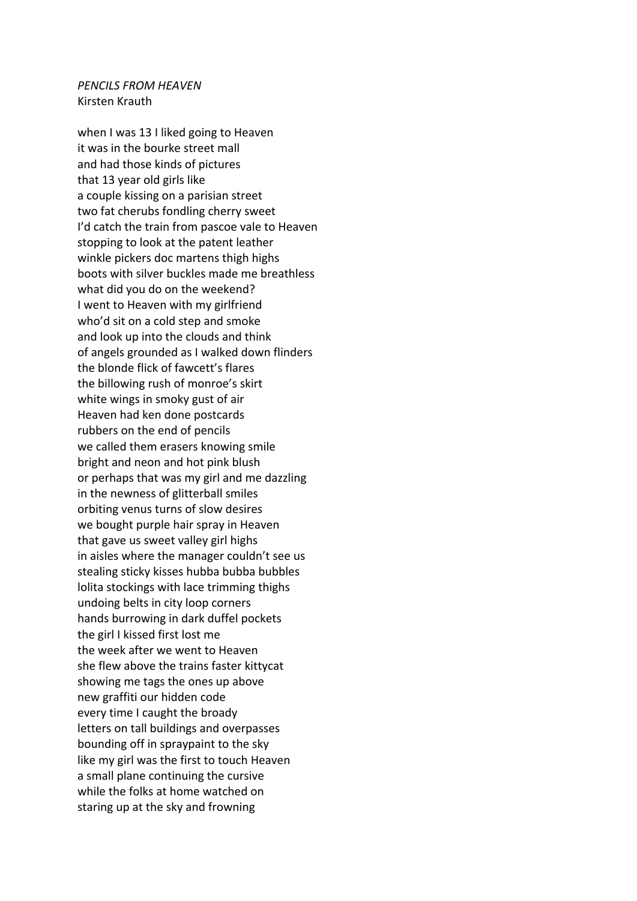## *PENCILS FROM HEAVEN* Kirsten Krauth

when I was 13 I liked going to Heaven it was in the bourke street mall and had those kinds of pictures that 13 year old girls like a couple kissing on a parisian street two fat cherubs fondling cherry sweet I'd catch the train from pascoe vale to Heaven stopping to look at the patent leather winkle pickers doc martens thigh highs boots with silver buckles made me breathless what did you do on the weekend? I went to Heaven with my girlfriend who'd sit on a cold step and smoke and look up into the clouds and think of angels grounded as I walked down flinders the blonde flick of fawcett's flares the billowing rush of monroe's skirt white wings in smoky gust of air Heaven had ken done postcards rubbers on the end of pencils we called them erasers knowing smile bright and neon and hot pink blush or perhaps that was my girl and me dazzling in the newness of glitterball smiles orbiting venus turns of slow desires we bought purple hair spray in Heaven that gave us sweet valley girl highs in aisles where the manager couldn't see us stealing sticky kisses hubba bubba bubbles lolita stockings with lace trimming thighs undoing belts in city loop corners hands burrowing in dark duffel pockets the girl I kissed first lost me the week after we went to Heaven she flew above the trains faster kittycat showing me tags the ones up above new graffiti our hidden code every time I caught the broady letters on tall buildings and overpasses bounding off in spraypaint to the sky like my girl was the first to touch Heaven a small plane continuing the cursive while the folks at home watched on staring up at the sky and frowning